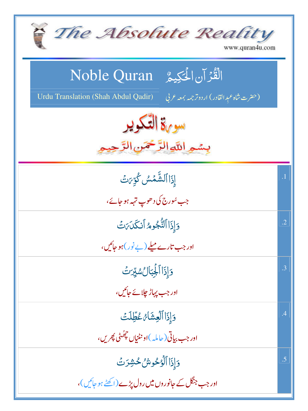| The Absolute Reality<br>www.quran4u.com                                                                                        |            |
|--------------------------------------------------------------------------------------------------------------------------------|------------|
| الْقُرْآنِ الْحَكِيمُ Noble Quran<br>Urdu Translation (Shah Abdul Qadir)<br>(حضرت شاه عبد القادر) اردوتر <i>جمه بمعه ع</i> ربي |            |
| سورة التكوير<br>بسمه اللهالزَّخْمَنِ الرَّحِ                                                                                   |            |
| إِذَا ٱلشَّمَسُ كُوِّيَنَ و<br>جب سُورج کی د ھوپ تہہ ہو جائے،                                                                  | $\cdot$ 1  |
| وَإِذَا ٱلثَّكُومُ ٱنكَدَيَنَّ<br>اور جب تارے میلے (بے نور)ہو جائیں،                                                           | $\cdot$ .2 |
| <u>وَإِذَا ٱلْجِبَالُ</u> سُيِّر <i>ُ</i> ثَ<br>اور جب پہاڑ چلائے جائیں،                                                       | .3         |
| وَإِذَا ٱلْعِشَارُ عُطِّلَتُ<br>اور جب بياتي (حامله )اونٽنڀاں چھُڻي پَھريں،                                                    | .4         |
| وَإِذَا ٱلْوُحُوشُ حُشِرَتَ<br>اور جب جنگل کے جانوروں میں رول پڑے (اکھٹے ہو جائیں)،                                            | .5         |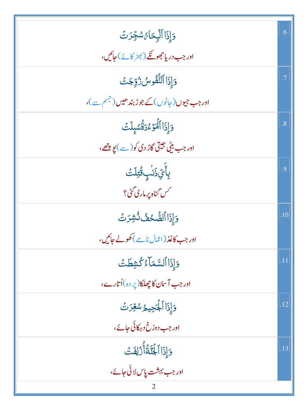| وَإِذَا ٱلَّبِحَامُ سُجِّرَتُ                              | .6             |
|------------------------------------------------------------|----------------|
| اور جب دریاحجھونکے (بھڑ کائے)حائیں،                        |                |
| وَإِذَا ٱلنُّفُوسُ رُوِّجَتُ                               | $\cdot$ 7      |
| اور جب جیوں ( جانوں )کے جوڑ بند ھیں (جسم سے )،             |                |
| وَإِذَا ٱلْمَوْءُدَةُسْبِلَتْ                              | $\overline{8}$ |
| اور جب بڻي جيتي گاڙ دي کو( <sub>سے</sub> )يو پ <u>تھ</u> ، |                |
| ٟۑؚٲٞؠۣۜ۠ۮؘٮ۬ۢٮ۪ۣٷ۠ؾؚڶٮٞ                                   | .9             |
| <i>گس گن</i> اه پر ماري گئي ؟                              |                |
| <u>وَإِذَا الصُّحْفُ نُشِرَتَ</u>                          | .10            |
| اور جب کاغذ (اعمال نامے ) کھولے جائیں،                     |                |
| وَإِذَا ٱلسَّمَآءُ كُشِطَتَ                                | .11            |
| اور جب آسان کا چھلکا(پر دہ)اُتارے،                         |                |
| <u>وَإِذَا ٱلْجَحِيحُ سُعِّرَتَ</u>                        | .12            |
| اور جب دوزخ د ہرکائی جائے،                                 |                |
| وَإِذَاآَ لَجُنَّةُ أُرْلِفَتْ                             | .13            |
| اور جب بہشت پاس لائی جائے،                                 |                |
|                                                            |                |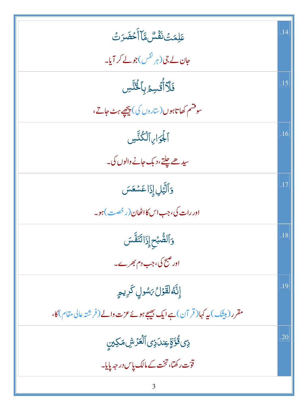| عَلِمَتۡ نَفۡسُ مَّاۤ أَحۡضَرَتۡ                                              | .14 |
|-------------------------------------------------------------------------------|-----|
| جان لے جی (ہر <sup>نفس</sup> )جو لے کر آیا۔                                   |     |
| فَلَأَأْتُسِمُ بِأَلْحُنَّسِ                                                  | .15 |
| سوقشم کھاتاہوں(ساروں کی) پیچھے ہٹ جاتے،                                       |     |
| ٱلْجَوَارِ ٱلْكُنَّسِ                                                         | .16 |
| سیدھے چلتے،دبک جانے والوں کی۔                                                 |     |
| وَٱلَّيَٰلِ إِذَا عَسَّعَسَ                                                   | .17 |
| اور رات کی، جب اس کااٹھان(رخصت)ہو۔                                            |     |
| وَٱلصُّبَحِ إِذَاتَنَفَّسَ                                                    | .18 |
| اور صبح کی،جب دم بھرے۔                                                        |     |
| إِنَّهُ لَقَوْلُ بَسُولِ كَرِيمٍ                                              | .19 |
| مقرر (بیٹک) یہ کہا( قر آن) ہے ایک بھیجے ہوئے عزت والے ( فر شتہ عالی مقام) کا، |     |
| ذِىقُوَّةٍغِندَاذِىٱلۡعَزۡشِمَكِينِ                                           | .20 |
| قوّت رکھتا، تخت کے مالک پاس در جہ پایا۔                                       |     |
| 3                                                                             |     |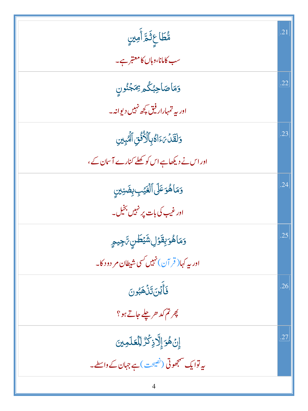| مُّطَاعِثَةِ أَمِينِ                                     | .21 |
|----------------------------------------------------------|-----|
| سب کامانا،وہاں کامعتبر ہے۔                               |     |
| وَمَاصَاحِبُكُم <i>ِ بِمَجْنُ</i> ونِ                    | .22 |
| اور به تمہارار فیق کچھ نہیں دیوانیہ۔                     |     |
| وَلَقَدۡ مَءَاءُبِٱلۡكُّنُّ ٱلۡ ٱلۡبِينِ                 | .23 |
| اور اس نے دیکھاہے اس کو کھلے کنارے آسان کے ،             |     |
| وَمَاهُوَعَلَى ٱلْغَيْبِ بِضَنِينِ                       | .24 |
| اور غیب کی بات پر نہیں بخیل۔                             |     |
| وَمَاهُوَبِقَوْلِشَيْطَنِ%َجِيمِ                         | .25 |
| اور بہ کہا( قر آن) نہیں <sup>کس</sup> ی شیطان مر دود کا۔ |     |
| <u>فَأَيْنَ تَنۡ</u> ۿَبُونَ                             | .26 |
| چرتم کد حرچلے جاتے ہو؟                                   |     |
| إِنَّ هُوَ إِلَّاذٍ كُرُّ لِلْعَلَمِينَ                  | .27 |
| یہ توایک سمجھوتی (نص <u>بحت ) ہ</u> ے جہان کے واسطے۔     |     |
|                                                          |     |